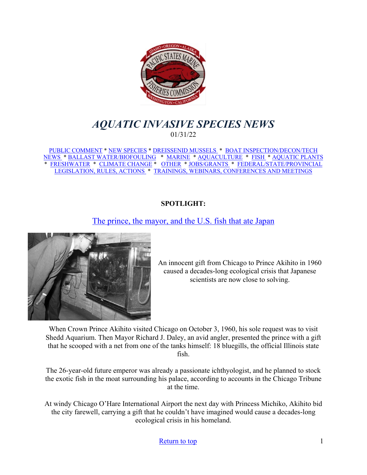<span id="page-0-0"></span>

# *AQUATIC INVASIVE SPECIES NEWS* 01/31/22

[PUBLIC COMMENT](#page-1-0) \* [NEW SPECIES](#page-3-0) \* [DREISSENID MUSSELS](#page-4-0) \* [BOAT INSPECTION/DECON/TECH](#page-5-0)  [NEWS](#page-5-0) [\\* BALLAST WATER/BIOFOULING](#page-5-1) \* [MARINE](#page-6-0) \* [AQUACULTURE](#page-7-0) \* [FISH](#page-8-0) \* [AQUATIC PLANTS](#page-8-1)  \* [FRESHWATER](#page-9-0) \* [CLIMATE CHANGE](#page-9-1) \* [OTHER](#page-10-0) \* [JOBS/GRANTS](#page-11-0) \* [FEDERAL/STATE/PROVINCIAL](#page-17-0)  [LEGISLATION, RULES, ACTIONS](#page-17-0) \* [TRAININGS, WEBINARS, CONFERENCES AND MEETINGS](#page-21-0) 

### **SPOTLIGHT:**

# [The prince, the mayor, and the U.S. fish that ate Japan](https://www.nationalgeographic.com/environment/article/the-prince-the-mayor-and-the-us-fish-that-ate-japan)



An innocent gift from Chicago to Prince Akihito in 1960 caused a decades-long ecological crisis that Japanese scientists are now close to solving.

When Crown Prince Akihito visited Chicago on October 3, 1960, his sole request was to visit Shedd Aquarium. Then Mayor Richard J. Daley, an avid angler, presented the prince with a gift that he scooped with a net from one of the tanks himself: 18 bluegills, the official Illinois state fish.

The 26-year-old future emperor was already a passionate ichthyologist, and he planned to stock the exotic fish in the moat surrounding his palace, according to accounts in the Chicago Tribune at the time.

At windy Chicago O'Hare International Airport the next day with Princess Michiko, Akihito bid the city farewell, carrying a gift that he couldn't have imagined would cause a decades-long ecological crisis in his homeland.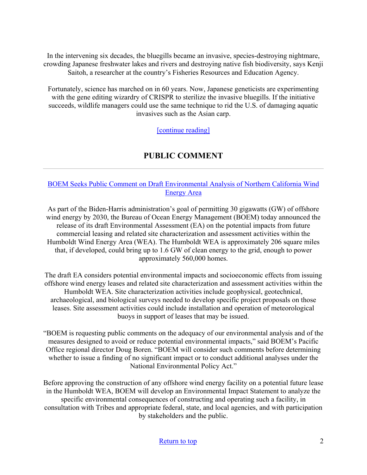In the intervening six decades, the bluegills became an invasive, species-destroying nightmare, crowding Japanese freshwater lakes and rivers and destroying native fish biodiversity, says Kenji Saitoh, a researcher at the country's Fisheries Resources and Education Agency.

Fortunately, science has marched on in 60 years. Now, Japanese geneticists are experimenting with the gene editing wizardry of CRISPR to sterilize the invasive bluegills. If the initiative succeeds, wildlife managers could use the same technique to rid the U.S. of damaging aquatic invasives such as the Asian carp.

[\[continue reading\]](https://www.nationalgeographic.com/environment/article/the-prince-the-mayor-and-the-us-fish-that-ate-japan)

# **PUBLIC COMMENT**

### <span id="page-1-0"></span>[BOEM Seeks Public Comment on Draft Environmental Analysis of Northern California Wind](https://www.boem.gov/newsroom/press-releases/boem-seeks-public-comment-draft-environmental-analysis-northern-california)  [Energy Area](https://www.boem.gov/newsroom/press-releases/boem-seeks-public-comment-draft-environmental-analysis-northern-california)

As part of the Biden-Harris administration's goal of permitting 30 gigawatts (GW) of offshore wind energy by 2030, the Bureau of Ocean Energy Management (BOEM) today announced the release of its draft Environmental Assessment (EA) on the potential impacts from future commercial leasing and related site characterization and assessment activities within the Humboldt Wind Energy Area (WEA). The Humboldt WEA is approximately 206 square miles that, if developed, could bring up to 1.6 GW of clean energy to the grid, enough to power approximately 560,000 homes.

The draft EA considers potential environmental impacts and socioeconomic effects from issuing offshore wind energy leases and related site characterization and assessment activities within the Humboldt WEA. Site characterization activities include geophysical, geotechnical, archaeological, and biological surveys needed to develop specific project proposals on those leases. Site assessment activities could include installation and operation of meteorological buoys in support of leases that may be issued.

"BOEM is requesting public comments on the adequacy of our environmental analysis and of the measures designed to avoid or reduce potential environmental impacts," said BOEM's Pacific Office regional director Doug Boren. "BOEM will consider such comments before determining whether to issue a finding of no significant impact or to conduct additional analyses under the National Environmental Policy Act."

Before approving the construction of any offshore wind energy facility on a potential future lease in the Humboldt WEA, BOEM will develop an Environmental Impact Statement to analyze the specific environmental consequences of constructing and operating such a facility, in consultation with Tribes and appropriate federal, state, and local agencies, and with participation by stakeholders and the public.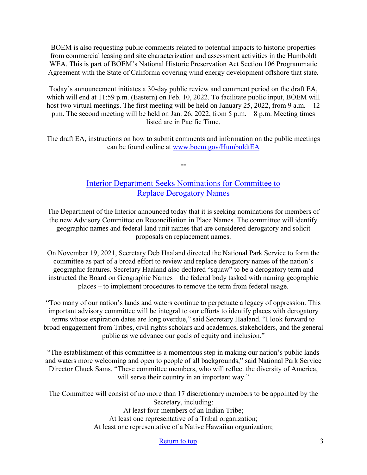BOEM is also requesting public comments related to potential impacts to historic properties from commercial leasing and site characterization and assessment activities in the Humboldt WEA. This is part of BOEM's National Historic Preservation Act Section 106 Programmatic Agreement with the State of California covering wind energy development offshore that state.

Today's announcement initiates a 30-day public review and comment period on the draft EA, which will end at 11:59 p.m. (Eastern) on Feb. 10, 2022. To facilitate public input, BOEM will host two virtual meetings. The first meeting will be held on January 25, 2022, from 9 a.m. – 12 p.m. The second meeting will be held on Jan. 26, 2022, from 5 p.m. – 8 p.m. Meeting times listed are in Pacific Time.

The draft EA, instructions on how to submit comments and information on the public meetings can be found online at [www.boem.gov/HumboldtEA](http://www.boem.gov/HumboldtEA)

**--**

# [Interior Department Seeks Nominations for Committee to](https://www.doi.gov/pressreleases/interior-department-seeks-nominations-committee-replace-derogatory-names)  [Replace Derogatory Names](https://www.doi.gov/pressreleases/interior-department-seeks-nominations-committee-replace-derogatory-names)

The Department of the Interior announced today that it is seeking nominations for members of the new Advisory Committee on Reconciliation in Place Names. The committee will identify geographic names and federal land unit names that are considered derogatory and solicit proposals on replacement names.

On November 19, 2021, Secretary Deb Haaland directed the National Park Service to form the committee as part of a broad effort to review and replace derogatory names of the nation's geographic features. Secretary Haaland also declared "squaw" to be a derogatory term and instructed the Board on Geographic Names – the federal body tasked with naming geographic places – to implement procedures to remove the term from federal usage.

"Too many of our nation's lands and waters continue to perpetuate a legacy of oppression. This important advisory committee will be integral to our efforts to identify places with derogatory terms whose expiration dates are long overdue," said Secretary Haaland. "I look forward to broad engagement from Tribes, civil rights scholars and academics, stakeholders, and the general public as we advance our goals of equity and inclusion."

"The establishment of this committee is a momentous step in making our nation's public lands and waters more welcoming and open to people of all backgrounds," said National Park Service Director Chuck Sams. "These committee members, who will reflect the diversity of America, will serve their country in an important way."

The Committee will consist of no more than 17 discretionary members to be appointed by the Secretary, including: At least four members of an Indian Tribe; At least one representative of a Tribal organization; At least one representative of a Native Hawaiian organization;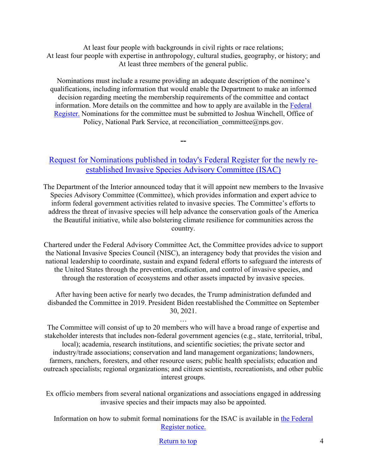At least four people with backgrounds in civil rights or race relations; At least four people with expertise in anthropology, cultural studies, geography, or history; and At least three members of the general public.

Nominations must include a resume providing an adequate description of the nominee's qualifications, including information that would enable the Department to make an informed decision regarding meeting the membership requirements of the committee and contact information. More details on the committee and how to apply are available in the [Federal](https://public-inspection.federalregister.gov/2022-00224.pdf)  [Register.](https://public-inspection.federalregister.gov/2022-00224.pdf) Nominations for the committee must be submitted to Joshua Winchell, Office of Policy, National Park Service, at reconciliation committee@nps.gov.

## <span id="page-3-0"></span>[Request for Nominations published in today's Federal Register for the newly re](https://www.doi.gov/pressreleases/interior-department-calls-nominations-serve-committee-coordinating-federal-actions)[established Invasive Species Advisory Committee \(ISAC\)](https://www.doi.gov/pressreleases/interior-department-calls-nominations-serve-committee-coordinating-federal-actions)

**--**

The Department of the Interior announced today that it will appoint new members to the Invasive Species Advisory Committee (Committee), which provides information and expert advice to inform federal government activities related to invasive species. The Committee's efforts to address the threat of invasive species will help advance the conservation goals of the America the Beautiful initiative, while also bolstering climate resilience for communities across the country.

Chartered under the Federal Advisory Committee Act, the Committee provides advice to support the National Invasive Species Council (NISC), an interagency body that provides the vision and national leadership to coordinate, sustain and expand federal efforts to safeguard the interests of the United States through the prevention, eradication, and control of invasive species, and through the restoration of ecosystems and other assets impacted by invasive species.

After having been active for nearly two decades, the Trump administration defunded and disbanded the Committee in 2019. President Biden reestablished the Committee on September 30, 2021.

…

The Committee will consist of up to 20 members who will have a broad range of expertise and stakeholder interests that includes non-federal government agencies (e.g., state, territorial, tribal, local); academia, research institutions, and scientific societies; the private sector and industry/trade associations; conservation and land management organizations; landowners, farmers, ranchers, foresters, and other resource users; public health specialists; education and outreach specialists; regional organizations; and citizen scientists, recreationists, and other public interest groups.

Ex officio members from several national organizations and associations engaged in addressing invasive species and their impacts may also be appointed.

Information on how to submit formal nominations for the ISAC is available in [the Federal](https://www.federalregister.gov/public-inspection/2022-01390/requests-for-nominations-invasive-species-advisory-committee)  [Register notice.](https://www.federalregister.gov/public-inspection/2022-01390/requests-for-nominations-invasive-species-advisory-committee)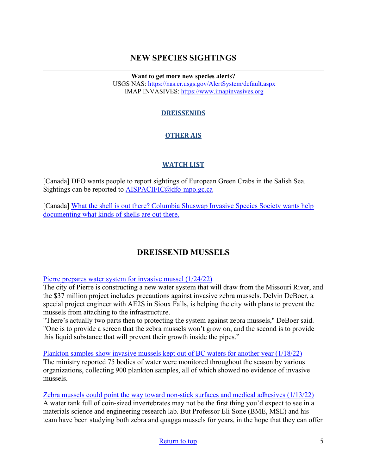# **NEW SPECIES SIGHTINGS**

**Want to get more new species alerts?** USGS NAS:<https://nas.er.usgs.gov/AlertSystem/default.aspx> IMAP INVASIVES: [https://www.imapinvasives.org](https://www.imapinvasives.org/)

## **DREISSENIDS**

# **OTHER AIS**

### **WATCH LIST**

[Canada] DFO wants people to report sightings of European Green Crabs in the Salish Sea. Sightings can be reported to  $AISPACIFIC@dfo-mpo.gc.ca$ 

[Canada] What the shell is out there? Columbia Shuswap Invasive Species Society wants help [documenting what kinds of shells are out there.](https://www.castanet.net/news/Salmon-Arm/344047/Columbia-Shuswap-Invasive-Species-Society-wants-help-documenting-what-kinds-of-shells-are-out-there) 

# **DREISSENID MUSSELS**

<span id="page-4-0"></span>[Pierre prepares water system for invasive mussel \(1/24/22\)](https://listen.sdpb.org/environment/2022-01-24/pierre-prepares-water-system-for-invasive-mussel)

The city of Pierre is constructing a new water system that will draw from the Missouri River, and the \$37 million project includes precautions against invasive zebra mussels. Delvin DeBoer, a special project engineer with AE2S in Sioux Falls, is helping the city with plans to prevent the mussels from attaching to the infrastructure.

"There's actually two parts then to protecting the system against zebra mussels," DeBoer said. "One is to provide a screen that the zebra mussels won't grow on, and the second is to provide this liquid substance that will prevent their growth inside the pipes."

[Plankton samples show invasive mussels kept out of BC waters for another year \(1/18/22\)](https://www.castanet.net/news/Salmon-Arm/357340/Plankton-samples-show-invasive-mussels-kept-out-of-BC-waters-for-another-year)

The ministry reported 75 bodies of water were monitored throughout the season by various organizations, collecting 900 plankton samples, all of which showed no evidence of invasive mussels.

[Zebra mussels could point the way toward non-stick surfaces and medical adhesives \(1/13/22\)](https://news.engineering.utoronto.ca/zebra-mussels-could-point-the-way-toward-non-stick-surfaces-and-medical-adhesives/) A water tank full of coin-sized invertebrates may not be the first thing you'd expect to see in a materials science and engineering research lab. But Professor Eli Sone (BME, MSE) and his team have been studying both zebra and quagga mussels for years, in the hope that they can offer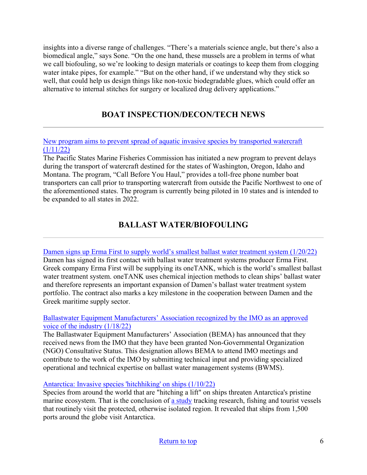insights into a diverse range of challenges. "There's a materials science angle, but there's also a biomedical angle," says Sone. "On the one hand, these mussels are a problem in terms of what we call biofouling, so we're looking to design materials or coatings to keep them from clogging water intake pipes, for example." "But on the other hand, if we understand why they stick so well, that could help us design things like non-toxic biodegradable glues, which could offer an alternative to internal stitches for surgery or localized drug delivery applications."

# **BOAT INSPECTION/DECON/TECH NEWS**

<span id="page-5-0"></span>[New program aims to prevent spread of aquatic invasive species by transported watercraft](https://ktvz.com/news/2022/01/11/new-program-aims-to-prevent-spread-of-aquatic-invasive-species-by-transported-watercraft/)   $(1/11/22)$ 

The Pacific States Marine Fisheries Commission has initiated a new program to prevent delays during the transport of watercraft destined for the states of Washington, Oregon, Idaho and Montana. The program, "Call Before You Haul," provides a toll-free phone number boat transporters can call prior to transporting watercraft from outside the Pacific Northwest to one of the aforementioned states. The program is currently being piloted in 10 states and is intended to be expanded to all states in 2022.

# **BALLAST WATER/BIOFOULING**

<span id="page-5-1"></span>[Damen signs up Erma First to supply world's smallest ballast water treatment system \(1/20/22\)](https://www.hellenicshippingnews.com/damen-signs-up-erma-first-to-supply-worlds-smallest-ballast-water-treatment-system/) Damen has signed its first contact with ballast water treatment systems producer Erma First. Greek company Erma First will be supplying its oneTANK, which is the world's smallest ballast water treatment system. oneTANK uses chemical injection methods to clean ships' ballast water and therefore represents an important expansion of Damen's ballast water treatment system portfolio. The contract also marks a key milestone in the cooperation between Damen and the Greek maritime supply sector.

### [Ballastwater Equipment Manufacturers' Association recognized by the IMO as an approved](https://www.hellenicshippingnews.com/ballastwater-equipment-manufacturers-association-recognized-by-the-imo-as-an-approved-voice-of-the-industry/)  [voice of the industry \(1/18/22\)](https://www.hellenicshippingnews.com/ballastwater-equipment-manufacturers-association-recognized-by-the-imo-as-an-approved-voice-of-the-industry/)

The Ballastwater Equipment Manufacturers' Association (BEMA) has announced that they received news from the IMO that they have been granted Non-Governmental Organization (NGO) Consultative Status. This designation allows BEMA to attend IMO meetings and contribute to the work of the IMO by submitting technical input and providing specialized operational and technical expertise on ballast water management systems (BWMS).

[Antarctica: Invasive species 'hitchhiking' on ships \(1/10/22\)](https://www.bbc.com/news/science-environment-59914729)

Species from around the world that are "hitching a lift" on ships threaten Antarctica's pristine marine ecosystem. That is the conclusion of [a study](https://www.pnas.org/cgi/doi/10.1073/pnas.2110303118) tracking research, fishing and tourist vessels that routinely visit the protected, otherwise isolated region. It revealed that ships from 1,500 ports around the globe visit Antarctica.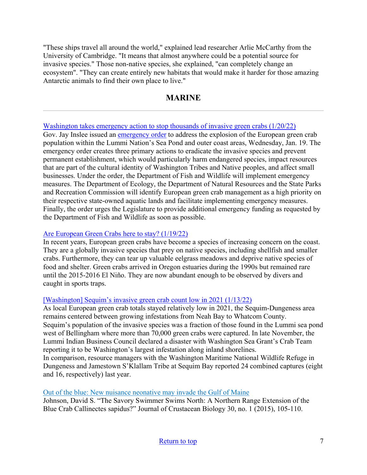"These ships travel all around the world," explained lead researcher Arlie McCarthy from the University of Cambridge. "It means that almost anywhere could be a potential source for invasive species." Those non-native species, she explained, "can completely change an ecosystem". "They can create entirely new habitats that would make it harder for those amazing Antarctic animals to find their own place to live."

# **MARINE**

#### <span id="page-6-0"></span>[Washington takes emergency action to stop thousands of invasive green crabs \(1/20/22\)](https://www.thenewstribune.com/news/state/washington/article257512374.html)

Gov. Jay Inslee issued an [emergency order](https://www.governor.wa.gov/sites/default/files/proclamations/22-02%20-%20Green%20Crab%20Emergency%20%28tmp%29.pdf?utm_medium=email&utm_source=govdelivery) to address the explosion of the European green crab population within the Lummi Nation's Sea Pond and outer coast areas, Wednesday, Jan. 19. The emergency order creates three primary actions to eradicate the invasive species and prevent permanent establishment, which would particularly harm endangered species, impact resources that are part of the cultural identity of Washington Tribes and Native peoples, and affect small businesses. Under the order, the Department of Fish and Wildlife will implement emergency measures. The Department of Ecology, the Department of Natural Resources and the State Parks and Recreation Commission will identify European green crab management as a high priority on their respective state-owned aquatic lands and facilitate implementing emergency measures. Finally, the order urges the Legislature to provide additional emergency funding as requested by the Department of Fish and Wildlife as soon as possible.

#### [Are European Green Crabs here to stay? \(1/19/22\)](https://www.newportnewstimes.com/community/are-european-green-crabs-here-to-stay/article_d91c5d38-78a4-11ec-9be9-f76ca07a0515.html)

In recent years, European green crabs have become a species of increasing concern on the coast. They are a globally invasive species that prey on native species, including shellfish and smaller crabs. Furthermore, they can tear up valuable eelgrass meadows and deprive native species of food and shelter. Green crabs arrived in Oregon estuaries during the 1990s but remained rare until the 2015-2016 El Niño. They are now abundant enough to be observed by divers and caught in sports traps.

#### [\[Washington\] Sequim's invasive green crab count low in 2021 \(1/13/22\)](https://www.sequimgazette.com/news/sequims-invasive-green-crab-count-low-in-2021/)

As local European green crab totals stayed relatively low in 2021, the Sequim-Dungeness area remains centered between growing infestations from Neah Bay to Whatcom County. Sequim's population of the invasive species was a fraction of those found in the Lummi sea pond west of Bellingham where more than 70,000 green crabs were captured. In late November, the Lummi Indian Business Council declared a disaster with Washington Sea Grant's Crab Team reporting it to be Washington's largest infestation along inland shorelines. In comparison, resource managers with the Washington Maritime National Wildlife Refuge in Dungeness and Jamestown S'Klallam Tribe at Sequim Bay reported 24 combined captures (eight and 16, respectively) last year.

#### [Out of the blue: New nuisance neonative may invade the Gulf of Maine](https://lnks.gd/l/eyJhbGciOiJIUzI1NiJ9.eyJidWxsZXRpbl9saW5rX2lkIjoxMjMsInVyaSI6ImJwMjpjbGljayIsImJ1bGxldGluX2lkIjoiMjAyMjAxMTkuNTIwMjY0MTEiLCJ1cmwiOiJodHRwczovL2RyaXZlLmdvb2dsZS5jb20vZmlsZS9kLzFiVkMwSEg3bUxFQnd0LW9BLUdVZVFVUllXMzhncDJkci92aWV3P3V0bV9tZWRpdW09ZW1haWwmdXRtX3NvdXJjZT1nb3ZkZWxpdmVyeSJ9.GpVSiXP0Z6EHZZph-v2rusBcSjjOuXiunKWTKrfPQrc/s/955051654/br/125304234729-l)

Johnson, David S. "The Savory Swimmer Swims North: A Northern Range Extension of the Blue Crab Callinectes sapidus?" Journal of Crustacean Biology 30, no. 1 (2015), 105-110.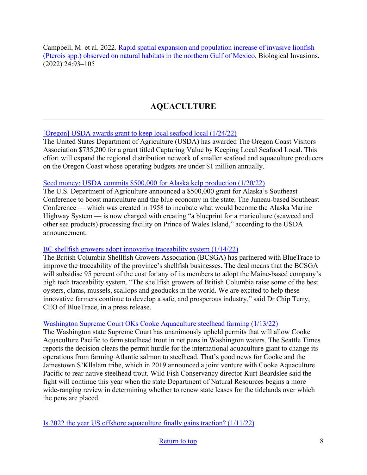Campbell, M. et al. 2022. [Rapid spatial expansion and population increase of invasive lionfish](https://link.springer.com/content/pdf/10.1007/s10530-021-02625-1?utm_source=toc&utm_medium=email&utm_campaign=toc_10530_24_1&utm_content=etoc_springer_20220108)  [\(Pterois spp.\) observed on natural habitats in the northern Gulf of Mexico.](https://link.springer.com/content/pdf/10.1007/s10530-021-02625-1?utm_source=toc&utm_medium=email&utm_campaign=toc_10530_24_1&utm_content=etoc_springer_20220108) Biological Invasions. (2022) 24:93–105

# **AQUACULTURE**

### <span id="page-7-0"></span>[\[Oregon\] USDA awards grant to keep local seafood local \(1/24/22\)](https://www.thenewsguard.com/news/usda-awards-grant-to-keep-local-seafood-local/article_0216ee4a-7889-11ec-ad42-bb887868ea66.html)

The United States Department of Agriculture (USDA) has awarded The Oregon Coast Visitors Association \$735,200 for a grant titled Capturing Value by Keeping Local Seafood Local. This effort will expand the regional distribution network of smaller seafood and aquaculture producers on the Oregon Coast whose operating budgets are under \$1 million annually.

### [Seed money: USDA commits \\$500,000 for Alaska kelp production \(1/20/22\)](https://www.nationalfisherman.com/alaska/seed-money-usda-commits-500-000-for-alaska-kelp-production)

The U.S. Department of Agriculture announced a \$500,000 grant for Alaska's Southeast Conference to boost mariculture and the blue economy in the state. The Juneau-based Southeast Conference — which was created in 1958 to incubate what would become the Alaska Marine Highway System — is now charged with creating "a blueprint for a mariculture (seaweed and other sea products) processing facility on Prince of Wales Island," according to the USDA announcement.

### [BC shellfish growers adopt innovative traceability system \(1/14/22\)](https://thefishsite.com/articles/bc-shellfish-growers-adopt-innovative-traceability-system)

The British Columbia Shellfish Growers Association (BCSGA) has partnered with BlueTrace to improve the traceability of the province's shellfish businesses. The deal means that the BCSGA will subsidise 95 percent of the cost for any of its members to adopt the Maine-based company's high tech traceability system. "The shellfish growers of British Columbia raise some of the best oysters, clams, mussels, scallops and geoducks in the world. We are excited to help these innovative farmers continue to develop a safe, and prosperous industry," said Dr Chip Terry, CEO of BlueTrace, in a press release.

## [Washington Supreme Court OKs Cooke Aquaculture steelhead farming \(1/13/22\)](https://ktvz.com/news/ap-oregon-northwest/2022/01/13/wa-supreme-court-oks-cooke-aquaculture-steelhead-farming/)

The Washington state Supreme Court has unanimously upheld permits that will allow Cooke Aquaculture Pacific to farm steelhead trout in net pens in Washington waters. The Seattle Times reports the decision clears the permit hurdle for the international aquaculture giant to change its operations from farming Atlantic salmon to steelhead. That's good news for Cooke and the Jamestown S'Kllalam tribe, which in 2019 announced a joint venture with Cooke Aquaculture Pacific to rear native steelhead trout. Wild Fish Conservancy director Kurt Beardslee said the fight will continue this year when the state Department of Natural Resources begins a more wide-ranging review in determining whether to renew state leases for the tidelands over which the pens are placed.

[Is 2022 the year US offshore aquaculture finally gains traction? \(1/11/22\)](https://www.intrafish.com/aquaculture/is-2022-the-year-us-offshore-aquaculture-finally-gains-traction-/2-1-1139918)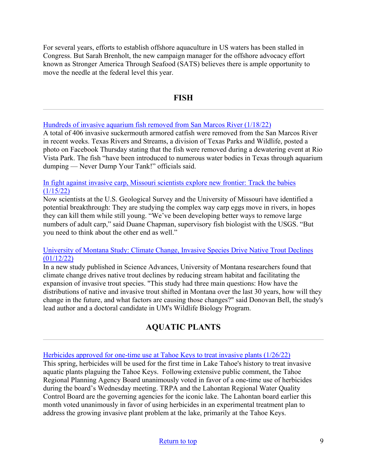For several years, efforts to establish offshore aquaculture in US waters has been stalled in Congress. But Sarah Brenholt, the new campaign manager for the offshore advocacy effort known as Stronger America Through Seafood (SATS) believes there is ample opportunity to move the needle at the federal level this year.

## **FISH**

#### <span id="page-8-0"></span>[Hundreds of invasive aquarium fish removed from San Marcos River \(1/18/22\)](https://www.ksat.com/news/local/2022/01/18/hundreds-of-invasive-aquarium-fish-removed-from-san-marcos-river/)

A total of 406 invasive suckermouth armored catfish were removed from the San Marcos River in recent weeks. Texas Rivers and Streams, a division of Texas Parks and Wildlife, posted a photo on Facebook Thursday stating that the fish were removed during a dewatering event at Rio Vista Park. The fish "have been introduced to numerous water bodies in Texas through aquarium dumping — Never Dump Your Tank!" officials said.

#### [In fight against invasive carp, Missouri scientists explore new frontier: Track the babies](https://www.fredericknewspost.com/news/lifestyle/travel_and_outdoors/in-fight-against-invasive-carp-missouri-scientists-explore-new-frontier-track-the-babies/article_567dc006-43ff-5c1f-b8e8-e76fc5704938.html)   $(1/15/22)$

Now scientists at the U.S. Geological Survey and the University of Missouri have identified a potential breakthrough: They are studying the complex way carp eggs move in rivers, in hopes they can kill them while still young. "We've been developing better ways to remove large numbers of adult carp," said Duane Chapman, supervisory fish biologist with the USGS. "But you need to think about the other end as well."

#### [University of Montana Study: Climate Change, Invasive Species Drive Native Trout Declines](https://www.threeforksvoice.com/story/2022/01/12/news/um-study-climate-change-invasive-species-drive-native-trout-declines/1709.html)  [\(01/12/22\)](https://www.threeforksvoice.com/story/2022/01/12/news/um-study-climate-change-invasive-species-drive-native-trout-declines/1709.html)

In a new study published in Science Advances, University of Montana researchers found that climate change drives native trout declines by reducing stream habitat and facilitating the expansion of invasive trout species. "This study had three main questions: How have the distributions of native and invasive trout shifted in Montana over the last 30 years, how will they change in the future, and what factors are causing those changes?" said Donovan Bell, the study's lead author and a doctoral candidate in UM's Wildlife Biology Program.

# **AQUATIC PLANTS**

<span id="page-8-1"></span>[Herbicides approved for one-time use at Tahoe Keys to treat invasive plants \(1/26/22\)](https://www.rgj.com/story/news/2022/01/26/herbicides-tahoe-keys-invasive-species/9232983002/)

This spring, herbicides will be used for the first time in Lake Tahoe's history to treat invasive aquatic plants plaguing the Tahoe Keys. Following extensive public comment, the Tahoe Regional Planning Agency Board unanimously voted in favor of a one-time use of herbicides during the board's Wednesday meeting. TRPA and the Lahontan Regional Water Quality Control Board are the governing agencies for the iconic lake. The Lahontan board earlier this month voted unanimously in favor of using herbicides in an experimental treatment plan to address the growing invasive plant problem at the lake, primarily at the Tahoe Keys.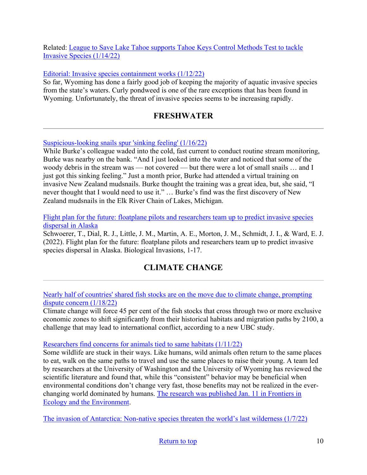### Related: [League to Save Lake Tahoe supports Tahoe Keys Control Methods Test to tackle](https://carsonnow.org/story/01/14/2022/league-save-lake-tahoe-supports-tahoe-keys-control-methods-test-tackle-invasive-spe)  [Invasive Species \(1/14/22\)](https://carsonnow.org/story/01/14/2022/league-save-lake-tahoe-supports-tahoe-keys-control-methods-test-tackle-invasive-spe)

### [Editorial: Invasive species containment works \(1/12/22\)](https://www.codyenterprise.com/news/opinion/article_778b20d8-73de-11ec-879b-e3bb1b0a3721.html)

So far, Wyoming has done a fairly good job of keeping the majority of aquatic invasive species from the state's waters. Curly pondweed is one of the rare exceptions that has been found in Wyoming. Unfortunately, the threat of invasive species seems to be increasing rapidly.

# **FRESHWATER**

#### <span id="page-9-0"></span>[Suspicious-looking snails spur 'sinking feeling' \(1/16/22\)](https://www.record-eagle.com/news/suspicious-looking-snails-spur-sinking-feeling/article_2a0d0fe8-5c4a-11ec-8ce3-4f005820bc36.html)

While Burke's colleague waded into the cold, fast current to conduct routine stream monitoring, Burke was nearby on the bank. "And I just looked into the water and noticed that some of the woody debris in the stream was — not covered — but there were a lot of small snails … and I just got this sinking feeling." Just a month prior, Burke had attended a virtual training on invasive New Zealand mudsnails. Burke thought the training was a great idea, but, she said, "I never thought that I would need to use it." … Burke's find was the first discovery of New Zealand mudsnails in the Elk River Chain of Lakes, Michigan.

[Flight plan for the future: floatplane pilots and researchers team up to predict invasive species](https://link.springer.com/article/10.1007/s10530-021-02712-3?utm_medium=email&utm_source=govdelivery)  [dispersal in Alaska](https://link.springer.com/article/10.1007/s10530-021-02712-3?utm_medium=email&utm_source=govdelivery)

Schwoerer, T., Dial, R. J., Little, J. M., Martin, A. E., Morton, J. M., Schmidt, J. I., & Ward, E. J. (2022). Flight plan for the future: floatplane pilots and researchers team up to predict invasive species dispersal in Alaska. Biological Invasions, 1-17.

# **CLIMATE CHANGE**

<span id="page-9-1"></span>[Nearly half of countries' shared fish stocks are on the move due to climate change, prompting](https://www.sciencedaily.com/releases/2022/01/220118094137.htm)  [dispute concern \(1/18/22\)](https://www.sciencedaily.com/releases/2022/01/220118094137.htm)

Climate change will force 45 per cent of the fish stocks that cross through two or more exclusive economic zones to shift significantly from their historical habitats and migration paths by 2100, a challenge that may lead to international conflict, according to a new UBC study.

#### [Researchers find concerns for animals tied to same habitats \(1/11/22\)](https://www.washington.edu/news/2022/01/11/site-fidelity/)

Some wildlife are stuck in their ways. Like humans, wild animals often return to the same places to eat, walk on the same paths to travel and use the same places to raise their young. A team led by researchers at the University of Washington and the University of Wyoming has reviewed the scientific literature and found that, while this "consistent" behavior may be beneficial when environmental conditions don't change very fast, those benefits may not be realized in the everchanging world dominated by humans. [The research was published Jan. 11 in Frontiers in](https://esajournals.onlinelibrary.wiley.com/doi/abs/10.1002/fee.2456)  [Ecology and the Environment.](https://esajournals.onlinelibrary.wiley.com/doi/abs/10.1002/fee.2456)

[The invasion of Antarctica: Non-native species threaten the world's last wilderness \(1/7/22\)](https://bigthink.com/life/antarctica-invasive-species/)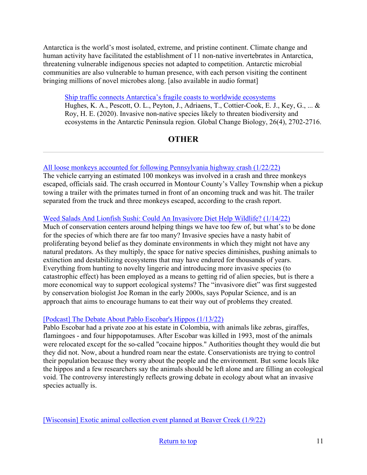Antarctica is the world's most isolated, extreme, and pristine continent. Climate change and human activity have facilitated the establishment of 11 non-native invertebrates in Antarctica, threatening vulnerable indigenous species not adapted to competition. Antarctic microbial communities are also vulnerable to human presence, with each person visiting the continent bringing millions of novel microbes along. [also available in audio format]

[Ship traffic connects Antarctica's fragile coasts to worldwide ecosystems](https://www.pnas.org/content/119/3/e2110303118?utm_medium=email&utm_source=govdelivery) Hughes, K. A., Pescott, O. L., Peyton, J., Adriaens, T., Cottier‐Cook, E. J., Key, G., ... & Roy, H. E. (2020). Invasive non‐native species likely to threaten biodiversity and ecosystems in the Antarctic Peninsula region. Global Change Biology, 26(4), 2702-2716.

# **OTHER**

### <span id="page-10-0"></span>[All loose monkeys accounted for following Pennsylvania highway crash \(1/22/22\)](https://www.nbcnews.com/news/us-news/monkeys-loose-pennsylvania-highway-crash-rcna13149?utm_medium=email&utm_source=govdelivery)

The vehicle carrying an estimated 100 monkeys was involved in a crash and three monkeys escaped, officials said. The crash occurred in Montour County's Valley Township when a pickup towing a trailer with the primates turned in front of an oncoming truck and was hit. The trailer separated from the truck and three monkeys escaped, according to the crash report.

### [Weed Salads And Lionfish Sushi: Could An Invasivore Diet Help Wildlife? \(1/14/22\)](https://www.iflscience.com/plants-and-animals/weed-salads-and-lionfish-sushi-could-an-invasivore-diet-help-wildlife/)

Much of conservation centers around helping things we have too few of, but what's to be done for the species of which there are far too many? Invasive species have a nasty habit of proliferating beyond belief as they dominate environments in which they might not have any natural predators. As they multiply, the space for native species diminishes, pushing animals to extinction and destabilizing ecosystems that may have endured for thousands of years. Everything from hunting to novelty lingerie and introducing more invasive species (to catastrophic effect) has been employed as a means to getting rid of alien species, but is there a more economical way to support ecological systems? The "invasivore diet" was first suggested by conservation biologist Joe Roman in the early 2000s, says Popular Science, and is an approach that aims to encourage humans to eat their way out of problems they created.

### [\[Podcast\] The Debate About Pablo Escobar's Hippos \(1/13/22\)](https://www.npr.org/2022/01/13/1072903214/the-debate-about-pablo-escobars-hippos)

Pablo Escobar had a private zoo at his estate in Colombia, with animals like zebras, giraffes, flamingoes - and four hippopotamuses. After Escobar was killed in 1993, most of the animals were relocated except for the so-called "cocaine hippos." Authorities thought they would die but they did not. Now, about a hundred roam near the estate. Conservationists are trying to control their population because they worry about the people and the environment. But some locals like the hippos and a few researchers say the animals should be left alone and are filling an ecological void. The controversy interestingly reflects growing debate in ecology about what an invasive species actually is.

[\[Wisconsin\] Exotic animal collection event planned at Beaver Creek \(1/9/22\)](https://www.leadertelegram.com/news/front-page/exotic-animal-collection-event-planned-at-beaver-creek/article_6dbd2601-4835-5c98-a8e7-e8a95251f46b.html)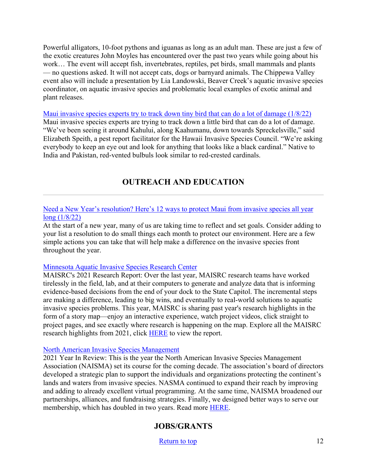Powerful alligators, 10-foot pythons and iguanas as long as an adult man. These are just a few of the exotic creatures John Moyles has encountered over the past two years while going about his work… The event will accept fish, invertebrates, reptiles, pet birds, small mammals and plants — no questions asked. It will not accept cats, dogs or barnyard animals. The Chippewa Valley event also will include a presentation by Lia Landowski, Beaver Creek's aquatic invasive species coordinator, on aquatic invasive species and problematic local examples of exotic animal and plant releases.

[Maui invasive species experts try to track down tiny](https://www.hawaiinewsnow.com/2022/01/08/invasive-species-experts-maui-need-help-capturing-small-bird-known-cause-big-damage/) bird that can do a lot of damage (1/8/22) Maui invasive species experts are trying to track down a little bird that can do a lot of damage. "We've been seeing it around Kahului, along Kaahumanu, down towards Spreckelsville," said Elizabeth Speith, a pest report facilitator for the Hawaii Invasive Species Council. "We're asking everybody to keep an eye out and look for anything that looks like a black cardinal." Native to India and Pakistan, red-vented bulbuls look similar to red-crested cardinals.

# **OUTREACH AND EDUCATION**

#### [Need a New Year's resolution? Here's 12 ways to protect Maui from invasi](https://www.mauinews.com/news/community-news/2022/01/need-a-new-years-resolution-heres-12-ways-to-protect-maui-from-invasive-species-all-year-long/)ve species all year [long \(1/8/22\)](https://www.mauinews.com/news/community-news/2022/01/need-a-new-years-resolution-heres-12-ways-to-protect-maui-from-invasive-species-all-year-long/)

At the start of a new year, many of us are taking time to reflect and set goals. Consider adding to your list a resolution to do small things each month to protect our environment. Here are a few simple actions you can take that will help make a difference on the invasive species front throughout the year.

#### [Minnesota Aquatic Invasive Species Research](https://storymaps.arcgis.com/stories/a5cdaa6b7b284c2ab8bb11dd7d4dc1c6?utm_medium=email&utm_source=govdelivery) Center

MAISRC's 2021 Research Report: Over the last year, MAISRC research teams have worked tirelessly in the field, lab, and at their computers to generate and analyze data that is informing evidence-based decisions from the end of your dock to the State Capitol. The incremental steps are making a difference, leading to big wins, and eventually to real-world solutions to aquatic invasive species problems. This year, MAISRC is sharing past year's research highlights in the form of a story map—enjoy an interactive experience, watch project videos, click straight to project pages, and see exactly where research is happening on the map. Explore all the MAISRC research highlights from 2021, click [HERE](https://storymaps.arcgis.com/stories/a5cdaa6b7b284c2ab8bb11dd7d4dc1c6?utm_medium=email&utm_source=govdelivery) to view the report.

#### [North American Invasive Species Management](https://naisma.org/about/2021-year-in-review/?utm_medium=email&utm_source=govdelivery)

<span id="page-11-0"></span>2021 Year In Review: This is the year the North American Invasive Species Management Association (NAISMA) set its course for the coming decade. The association's board of directors developed a strategic plan to support the individuals and organizations protecting the continent's lands and waters from invasive species. NASMA continued to expand their reach by improving and adding to already excellent virtual programming. At the same time, NAISMA broadened our partnerships, alliances, and fundraising strategies. Finally, we designed better ways to serve our membership, which has doubled in two years. Read more [HERE](https://naisma.org/about/2021-year-in-review/?utm_medium=email&utm_source=govdelivery).

## **JOBS/GRANTS**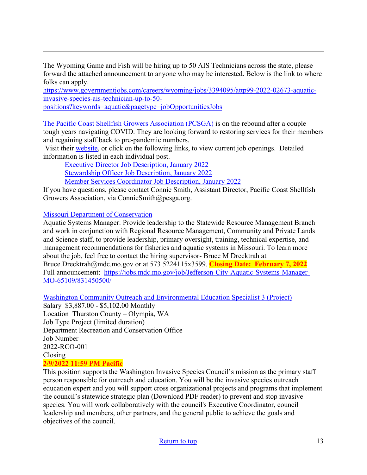The Wyoming Game and Fish will be hiring up to 50 AIS Technicians across the state, please forward the attached announcement to anyone who may be interested. Below is the link to where folks can apply.

[https://www.governmentjobs.com/careers/wyoming/jobs/3394095/attp99](https://www.governmentjobs.com/careers/wyoming/jobs/3394095/attp99-2022-02673-aquatic-invasive-species-ais-technician-up-to-50-positions?keywords=aquatic&pagetype=jobOpportunitiesJobs)-2022-02673-aquatic[invasive-species-ais-technician-up-to-](https://www.governmentjobs.com/careers/wyoming/jobs/3394095/attp99-2022-02673-aquatic-invasive-species-ais-technician-up-to-50-positions?keywords=aquatic&pagetype=jobOpportunitiesJobs)50-

[positions?keywords=aquatic&pagetype=jobOpportunitiesJobs](https://www.governmentjobs.com/careers/wyoming/jobs/3394095/attp99-2022-02673-aquatic-invasive-species-ais-technician-up-to-50-positions?keywords=aquatic&pagetype=jobOpportunitiesJobs)

[The Pacific Coast Shellfish Growers Association \(PCSGA\)](https://pcsga.org/) is on the rebound after a couple tough years navigating COVID. They are looking forward to restoring services for their members and regaining staff back to pre-pandemic numbers.

Visit their [website](https://pcsga.org/), or click on the following links, to view current job openings. Detailed information is listed in each individual post.

[Executive Director Job Description, January 2022](https://pcsga.org/wprs/wp-content/uploads/2022/01/Executive-Director-Job-Description-January-2022.pdf) [Stewardship Officer Job Description, January 2022](https://pcsga.org/wprs/wp-content/uploads/2022/01/Stewardship-Officer-Job-Description-January-2022.pdf) [Member Services Coordinator Job Description, January 2022](https://pcsga.org/wprs/wp-content/uploads/2022/01/Member-Services-Coordinator-Job-Description-January-2022.pdf)

If you have questions, please contact Connie Smith, Assistant Director, Pacific Coast Shellfish Growers Association, via ConnieSmith@pcsga.org.

### [Missouri Department of Conservation](https://jobs.mdc.mo.gov/job/Jefferson-City-Aquatic-Systems-Manager-MO-65109/831450500/)

Aquatic Systems Manager: Provide leadership to the Statewide Resource Management Branch and work in conjunction with Regional Resource Management, Community and Private Lands and Science staff, to provide leadership, primary oversight, training, technical expertise, and management recommendations for fisheries and aquatic systems in Missouri. To learn more about the job, feel free to contact the hiring supervisor- Bruce M Drecktrah at Bruce.Drecktrah@mdc.mo.gov or at 573 5224115x3599. **Closing Date: February 7, 2022**. Full announcement: [https://jobs.mdc.mo.gov/job/Jefferson](https://jobs.mdc.mo.gov/job/Jefferson-City-Aquatic-Systems-Manager-MO-65109/831450500/)-City-Aquatic-Systems-Manager-MO-[65109/831450500/](https://jobs.mdc.mo.gov/job/Jefferson-City-Aquatic-Systems-Manager-MO-65109/831450500/)

Was[hington Community Outreach and Environmental Education Specialist 3 \(Project\)](https://www.governmentjobs.com/careers/washington/jobs/3396032-0/community-outreach-and-environmental-education-specialist-3-project)

Salary \$3,887.00 - \$5,102.00 Monthly Location Thurston County – Olympia, WA Job Type Project (limited duration) Department Recreation and Conservation Office Job Number 2022-RCO-001 Closing **2/9/2022 11:59 PM Pacific** 

This position supports the Washington Invasive Species Council's mission as the primary staff person responsible for outreach and education. You will be the invasive species outreach education expert and you will support cross organizational projects and programs that implement the council's statewide strategic plan (Download PDF reader) to prevent and stop invasive species. You will work collaboratively with the council's Executive Coordinator, council leadership and members, other partners, and the general public to achieve the goals and objectives of the council.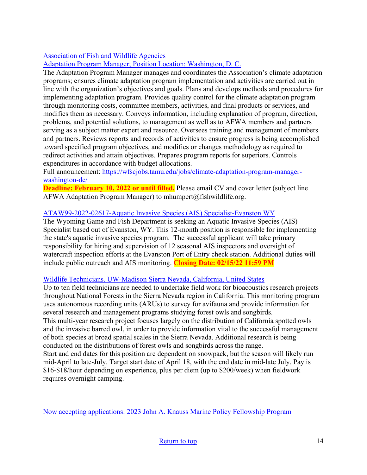# [Association of Fish and Wildlife Agencies](https://wfscjobs.tamu.edu/jobs/climate-adaptation-program-manager-washington-dc/?utm_medium=email&utm_source=govdelivery)

### [Adaptation Program Manager; Position Location: Washington, D. C.](https://wfscjobs.tamu.edu/jobs/climate-adaptation-program-manager-washington-dc/?utm_medium=email&utm_source=govdelivery)

The Adaptation Program Manager manages and coordinates the Association's climate adaptation programs; ensures climate adaptation program implementation and activities are carried out in line with the organization's objectives and goals. Plans and develops methods and procedures for implementing adaptation program. Provides quality control for the climate adaptation program through monitoring costs, committee members, activities, and final products or services, and modifies them as necessary. Conveys information, including explanation of program, direction, problems, and potential solutions, to management as well as to AFWA members and partners serving as a subject matter expert and resource. Oversees training and management of members and partners. Reviews reports and records of activities to ensure progress is being accomplished toward specified program objectives, and modifies or changes methodology as required to redirect activities and attain objectives. Prepares program reports for superiors. Controls expenditures in accordance with budget allocations.

Full announcement: [https://wfscjobs.tamu.edu/jobs/climate](https://wfscjobs.tamu.edu/jobs/climate-adaptation-program-manager-washington-dc/)-adaptation-program-manager[washington-](https://wfscjobs.tamu.edu/jobs/climate-adaptation-program-manager-washington-dc/)dc/

**Deadline: February 10, 2022 or until filled.** Please email CV and cover letter (subject line AFWA Adaptation Program Manager) to mhumpert@fishwildlife.org.

### ATAW99-2022-02617-[Aquatic Invasive Species \(AIS\) Specialist](https://www.governmentjobs.com/careers/wyoming/jobs/3387569/ataw99-2022-02617-aquatic-invasive-species-ais-specialist-evanston?department%5b0%5d=040-Game%20%26%20Fish&sort=PositionTitle%7CAscending&pagetype=jobOpportunitiesJobs)-Evanston WY

The Wyoming Game and Fish Department is seeking an Aquatic Invasive Species (AIS) Specialist based out of Evanston, WY. This 12-month position is responsible for implementing the state's aquatic invasive species program. The successful applicant will take primary responsibility for hiring and supervision of 12 seasonal AIS inspectors and oversight of watercraft inspection efforts at the Evanston Port of Entry check station. Additional duties will include public outreach and AIS monitoring. **Closing Date: 02/15/22 11:59 PM**

### [Wildlife Technicians. UW-Madison Sierra Nevada, California, United States](https://careers.wildlife.org/jobs/view/wildlife-technicians/60063903/?utm_medium=email&utm_source=getresponse&utm_content=This+Week%27s+eWildlifer+%26+TWS+Talks&utm_campaign=)

Up to ten field technicians are needed to undertake field work for bioacoustics research projects throughout National Forests in the Sierra Nevada region in California. This monitoring program uses autonomous recording units (ARUs) to survey for avifauna and provide information for several research and management programs studying forest owls and songbirds. This multi-year research project focuses largely on the distribution of California spotted owls and the invasive barred owl, in order to provide information vital to the successful management of both species at broad spatial scales in the Sierra Nevada. Additional research is being conducted on the distributions of forest owls and songbirds across the range. Start and end dates for this position are dependent on snowpack, but the season will likely run mid-April to late-July. Target start date of April 18, with the end date in mid-late July. Pay is \$16-\$18/hour depending on experience, plus per diem (up to \$200/week) when fieldwork requires overnight camping.

[Now accepting applications: 2023 John A. Knauss Marine Policy Fellowsh](https://caseagrant.ucsd.edu/fellowships/john-a-knauss-marine-policy-fellowship)ip Program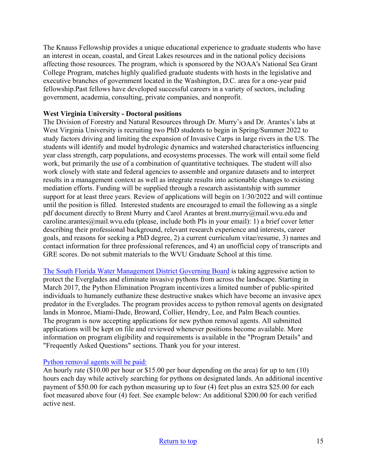The Knauss Fellowship provides a unique educational experience to graduate students who have an interest in ocean, coastal, and Great Lakes resources and in the national policy decisions affecting those resources. The program, which is sponsored by the NOAA's National Sea Grant College Program, matches highly qualified graduate students with hosts in the legislative and executive branches of government located in the Washington, D.C. area for a one-year paid fellowship.Past fellows have developed successful careers in a variety of sectors, including government, academia, consulting, private companies, and nonprofit.

### **West Virginia University - Doctoral positions**

The Division of Forestry and Natural Resources through Dr. Murry's and Dr. Arantes's labs at West Virginia University is recruiting two PhD students to begin in Spring/Summer 2022 to study factors driving and limiting the expansion of Invasive Carps in large rivers in the US. The students will identify and model hydrologic dynamics and watershed characteristics influencing year class strength, carp populations, and ecosystems processes. The work will entail some field work, but primarily the use of a combination of quantitative techniques. The student will also work closely with state and federal agencies to assemble and organize datasets and to interpret results in a management context as well as integrate results into actionable changes to existing mediation efforts. Funding will be supplied through a research assistantship with summer support for at least three years. Review of applications will begin on 1/30/2022 and will continue until the position is filled. Interested students are encouraged to email the following as a single pdf document directly to Brent Murry and Carol Arantes at brent.murry@mail.wvu.edu and caroline.arantes@mail.wvu.edu (please, include both PIs in your email): 1) a brief cover letter describing their professional background, relevant research experience and interests, career goals, and reasons for seeking a PhD degree, 2) a current curriculum vitae/resume, 3) names and contact information for three professional references, and 4) an unofficial copy of transcripts and GRE scores. Do not submit materials to the WVU Graduate School at this time.

[The South Florida Water Management District Governing Board](https://www.sfwmd.gov/our-work/python-program) is taking aggressive action to protect the Everglades and eliminate invasive pythons from across the landscape. Starting in March 2017, the Python Elimination Program incentivizes a limited number of public-spirited individuals to humanely euthanize these destructive snakes which have become an invasive apex predator in the Everglades. The program provides access to python removal agents on designated lands in Monroe, Miami-Dade, Broward, Collier, Hendry, Lee, and Palm Beach counties. The program is now accepting applications for new python removal agents. All submitted applications will be kept on file and reviewed whenever positions become available. More information on program eligibility and requirements is available in the "Program Details" and "Frequently Asked Questions" sections. Thank you for your interest.

#### [Python removal agents will be paid:](https://www.sfwmd.gov/our-work/python-program)

An hourly rate (\$10.00 per hour or \$15.00 per hour depending on the area) for up to ten (10) hours each day while actively searching for pythons on designated lands. An additional incentive payment of \$50.00 for each python measuring up to four (4) feet plus an extra \$25.00 for each foot measured above four (4) feet. See example below: An additional \$200.00 for each verified active nest.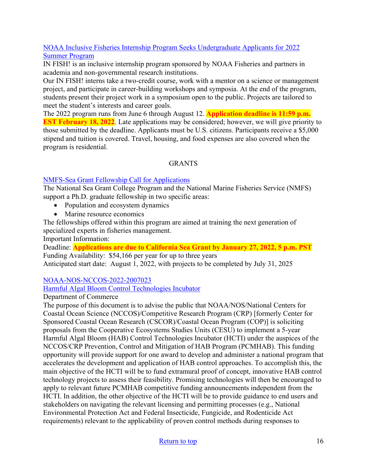### [NOAA Inclusive Fisheries Internship Program Seeks Undergraduate Applicants for 2022](https://www.fisheries.noaa.gov/feature-story/noaa-inclusive-fisheries-internship-program-seeks-undergraduate-applicants-2022-summer?utm_medium=email&utm_source=govdelivery)  [Summer Program](https://www.fisheries.noaa.gov/feature-story/noaa-inclusive-fisheries-internship-program-seeks-undergraduate-applicants-2022-summer?utm_medium=email&utm_source=govdelivery)

IN FISH! is an inclusive internship program sponsored by NOAA Fisheries and partners in academia and non-governmental research institutions.

Our IN FISH! interns take a two-credit course, work with a mentor on a science or management project, and participate in career-building workshops and symposia. At the end of the program, students present their project work in a symposium open to the public. Projects are tailored to meet the student's interests and career goals.

The 2022 program runs from June 6 through August 12. **Application deadline is 11:59 p.m. EST February 18, 2022**. Late applications may be considered; however, we will give priority to those submitted by the deadline. Applicants must be U.S. citizens. Participants receive a \$5,000 stipend and tuition is covered. Travel, housing, and food expenses are also covered when the program is residential.

### GRANTS

### [NMFS-Sea Grant Fellowship Call for Applications](https://caseagrant.ucsd.edu/fellowships/2022-nmfs-sea-grant-fellowship-in-population-and-ecosystem-dynamics-and-marine-resource)

The National Sea Grant College Program and the National Marine Fisheries Service (NMFS) support a Ph.D. graduate fellowship in two specific areas:

- Population and ecosystem dynamics
- Marine resource economics

The fellowships offered within this program are aimed at training the next generation of specialized experts in fisheries management.

Important Information:

Deadline: **Applications are due to California Sea Grant by January 27, 2022, 5 p.m. PST** Funding Availability: \$54,166 per year for up to three years Anticipated start date: August 1, 2022, with projects to be completed by July 31, 2025

## [NOAA-NOS-NCCOS-2022-2007023](https://www.grants.gov/web/grants/view-opportunity.html?oppId=335726)

### [Harmful Algal Bloom Control Technologies Incubator](https://www.grants.gov/web/grants/view-opportunity.html?oppId=335726)

### Department of Commerce

The purpose of this document is to advise the public that NOAA/NOS/National Centers for Coastal Ocean Science (NCCOS)/Competitive Research Program (CRP) [formerly Center for Sponsored Coastal Ocean Research (CSCOR)/Coastal Ocean Program (COP)] is soliciting proposals from the Cooperative Ecosystems Studies Units (CESU) to implement a 5-year Harmful Algal Bloom (HAB) Control Technologies Incubator (HCTI) under the auspices of the NCCOS/CRP Prevention, Control and Mitigation of HAB Program (PCMHAB). This funding opportunity will provide support for one award to develop and administer a national program that accelerates the development and application of HAB control approaches. To accomplish this, the main objective of the HCTI will be to fund extramural proof of concept, innovative HAB control technology projects to assess their feasibility. Promising technologies will then be encouraged to apply to relevant future PCMHAB competitive funding announcements independent from the HCTI. In addition, the other objective of the HCTI will be to provide guidance to end users and stakeholders on navigating the relevant licensing and permitting processes (e.g., National Environmental Protection Act and Federal Insecticide, Fungicide, and Rodenticide Act requirements) relevant to the applicability of proven control methods during responses to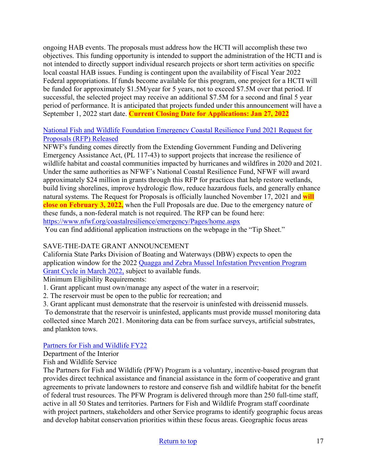ongoing HAB events. The proposals must address how the HCTI will accomplish these two objectives. This funding opportunity is intended to support the administration of the HCTI and is not intended to directly support individual research projects or short term activities on specific local coastal HAB issues. Funding is contingent upon the availability of Fiscal Year 2022 Federal appropriations. If funds become available for this program, one project for a HCTI will be funded for approximately \$1.5M/year for 5 years, not to exceed \$7.5M over that period. If successful, the selected project may receive an additional \$7.5M for a second and final 5 year period of performance. It is anticipated that projects funded under this announcement will have a September 1, 2022 start date. **Current Closing Date for Applications: Jan 27, 2022**

### [National Fish and Wildlife Foundation Emergency Coastal Resilience Fund 2021 Request for](https://www.google.com/url?q=https://lnks.gd/l/eyJhbGciOiJIUzI1NiJ9.eyJidWxsZXRpbl9saW5rX2lkIjoxMDEsInVyaSI6ImJwMjpjbGljayIsImJ1bGxldGluX2lkIjoiMjAyMTEyMDIuNDk2NDEwNjEiLCJ1cmwiOiJodHRwczovL3d3dy5uZndmLm9yZy9jb2FzdGFscmVzaWxpZW5jZS9lbWVyZ2VuY3kvUGFnZXMvaG9tZS5hc3B4P3V0bV9tZWRpdW09ZW1haWwmdXRtX3NvdXJjZT1nb3ZkZWxpdmVyeSJ9.Ooh_DqGNJHSaRhURSbRM2TjOI7V-NfWpTfeNYm-WOy8/s/725557401/br/122097868443-l&source=gmail&ust=1638577950803000&usg=AOvVaw3u5_6c16DJQSkVnUkW7_Ql)  [Proposals \(RFP\) Released](https://www.google.com/url?q=https://lnks.gd/l/eyJhbGciOiJIUzI1NiJ9.eyJidWxsZXRpbl9saW5rX2lkIjoxMDEsInVyaSI6ImJwMjpjbGljayIsImJ1bGxldGluX2lkIjoiMjAyMTEyMDIuNDk2NDEwNjEiLCJ1cmwiOiJodHRwczovL3d3dy5uZndmLm9yZy9jb2FzdGFscmVzaWxpZW5jZS9lbWVyZ2VuY3kvUGFnZXMvaG9tZS5hc3B4P3V0bV9tZWRpdW09ZW1haWwmdXRtX3NvdXJjZT1nb3ZkZWxpdmVyeSJ9.Ooh_DqGNJHSaRhURSbRM2TjOI7V-NfWpTfeNYm-WOy8/s/725557401/br/122097868443-l&source=gmail&ust=1638577950803000&usg=AOvVaw3u5_6c16DJQSkVnUkW7_Ql)

NFWF's funding comes directly from the Extending Government Funding and Delivering Emergency Assistance Act, (PL 117-43) to support projects that increase the resilience of wildlife habitat and coastal communities impacted by hurricanes and wildfires in 2020 and 2021. Under the same authorities as NFWF's National Coastal Resilience Fund, NFWF will award approximately \$24 million in grants through this RFP for practices that help restore wetlands, build living shorelines, improve hydrologic flow, reduce hazardous fuels, and generally enhance natural systems. The Request for Proposals is officially launched November 17, 2021 and **will close on February 3, 2022,** when the Full Proposals are due. Due to the emergency nature of these funds, a non-federal match is not required. The RFP can be found here: <https://www.nfwf.org/coastalresilience/emergency/Pages/home.aspx>

You can find additional application instructions on the webpage in the "Tip Sheet."

## SAVE-THE-DATE GRANT ANNOUNCEMENT

California State Parks Division of Boating and Waterways (DBW) expects to open the application window for the 2022 [Quagga and Zebra Mussel Infestation Prevention Program](http://dbw.parks.ca.gov/?page_id=28822)  [Grant Cycle in March 2022,](http://dbw.parks.ca.gov/?page_id=28822) subject to available funds.

Minimum Eligibility Requirements:

- 1. Grant applicant must own/manage any aspect of the water in a reservoir;
- 2. The reservoir must be open to the public for recreation; and
- 3. Grant applicant must demonstrate that the reservoir is uninfested with dreissenid mussels.

To demonstrate that the reservoir is uninfested, applicants must provide mussel monitoring data collected since March 2021. Monitoring data can be from surface surveys, artificial substrates, [and plankton tows.](https://www.grants.gov/web/grants/view-opportunity.html?oppId=336921) 

## [Partners for Fish and Wildlife FY22](https://www.grants.gov/web/grants/view-opportunity.html?oppId=336921)

Department of the Interior

Fish and Wildlife Service

The Partners for Fish and Wildlife (PFW) Program is a voluntary, incentive-based program that provides direct technical assistance and financial assistance in the form of cooperative and grant agreements to private landowners to restore and conserve fish and wildlife habitat for the benefit of federal trust resources. The PFW Program is delivered through more than 250 full-time staff, active in all 50 States and territories. Partners for Fish and Wildlife Program staff coordinate with project partners, stakeholders and other Service programs to identify geographic focus areas and develop habitat conservation priorities within these focus areas. Geographic focus areas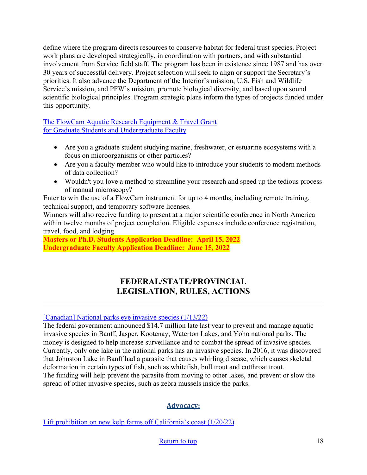define where the program directs resources to conserve habitat for federal trust species. Project work plans are developed strategically, in coordination with partners, and with substantial involvement from Service field staff. The program has been in existence since 1987 and has over 30 years of successful delivery. Project selection will seek to align or support the Secretary's priorities. It also advance the Department of the Interior's mission, U.S. Fish and Wildlife Service's mission, and PFW's mission, promote biological diversity, and based upon sound scientific biological principles. Program strategic plans inform the types of projects funded under this opportunity.

[The FlowCam Aquatic Research Equipment & Travel Grant](https://info.fluidimaging.com/flowcam-student-grant-2022?utm_campaign=FlowCam%20Student%20Grant%20Program%20-%202022&utm_medium=email&_hsmi=201999501&_hsenc=p2ANqtz-8ocExbgopRtkyNWxi0ljPjBorrFvK_wIwUD_KR7epglcNO-AO_DQ4NmoDkrNWY7LVtQd1Pk4pv8bA1I0u-TD5hWn2IAw&utm_content=201914302&utm_source=hs_email) [for Graduate Students and Undergraduate Faculty](https://info.fluidimaging.com/flowcam-student-grant-2022?utm_campaign=FlowCam%20Student%20Grant%20Program%20-%202022&utm_medium=email&_hsmi=201999501&_hsenc=p2ANqtz-8ocExbgopRtkyNWxi0ljPjBorrFvK_wIwUD_KR7epglcNO-AO_DQ4NmoDkrNWY7LVtQd1Pk4pv8bA1I0u-TD5hWn2IAw&utm_content=201914302&utm_source=hs_email) 

- Are you a graduate student studying marine, freshwater, or estuarine ecosystems with a focus on microorganisms or other particles?
- Are you a faculty member who would like to introduce your students to modern methods of data collection?
- Wouldn't you love a method to streamline your research and speed up the tedious process of manual microscopy?

Enter to win the use of a FlowCam instrument for up to 4 months, including remote training, technical support, and temporary software licenses.

Winners will also receive funding to present at a major scientific conference in North America within twelve months of project completion. Eligible expenses include conference registration, travel, food, and lodging.

**Masters or Ph.D. Students Application Deadline: April 15, 2022 Undergraduate Faculty Application Deadline: June 15, 2022** 

# **FEDERAL/STATE/PROVINCIAL LEGISLATION, RULES, ACTIONS**

## <span id="page-17-0"></span>[\[Canadian\] National parks eye invasive species \(1/13/22\)](https://www.producer.com/news/national-parks-eye-invasive-species/)

The federal government announced \$14.7 million late last year to prevent and manage aquatic invasive species in Banff, Jasper, Kootenay, Waterton Lakes, and Yoho national parks. The money is designed to help increase surveillance and to combat the spread of invasive species. Currently, only one lake in the national parks has an invasive species. In 2016, it was discovered that Johnston Lake in Banff had a parasite that causes whirling disease, which causes skeletal deformation in certain types of fish, such as whitefish, bull trout and cutthroat trout. The funding will help prevent the parasite from moving to other lakes, and prevent or slow the spread of other invasive species, such as zebra mussels inside the parks.

# **Advocacy:**

[Lift prohibition on new kelp farms off California's coast \(1/20/22\)](https://calmatters.org/commentary/2022/01/lift-prohibition-on-new-kelp-farms-off-californias-coast/)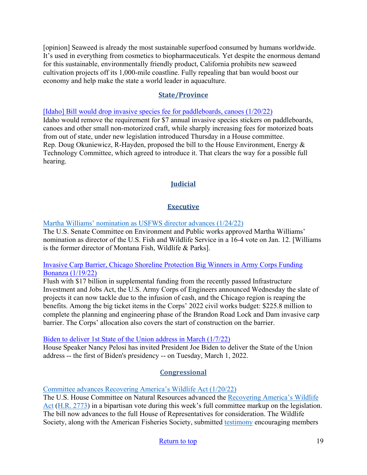[opinion] Seaweed is already the most sustainable superfood consumed by humans worldwide. It's used in everything from cosmetics to biopharmaceuticals. Yet despite the enormous demand for this sustainable, environmentally friendly product, California prohibits new seaweed cultivation projects off its 1,000-mile coastline. Fully repealing that ban would boost our economy and help make the state a world leader in aquaculture.

### **State/Province**

[\[Idaho\] Bill would drop invasive species fee for paddleboards, canoes \(1/20/22\)](https://www.idahopress.com/news/local/bill-would-drop-invasive-species-fee-for-paddleboards-canoes/article_4fa748ce-bbd6-552c-b08a-7addfe5d3a94.html)

Idaho would remove the requirement for \$7 annual invasive species stickers on paddleboards, canoes and other small non-motorized craft, while sharply increasing fees for motorized boats from out of state, under new legislation introduced Thursday in a House committee. Rep. Doug Okuniewicz, R-Hayden, proposed the bill to the House Environment, Energy & Technology Committee, which agreed to introduce it. That clears the way for a possible full hearing.

# **Judicial**

# **Executive**

[Martha Williams' nomination as USFWS director advances \(1/24/22\)](https://wildlife.org/martha-williams-nomination-as-usfws-director-advances/)

The U.S. Senate Committee on Environment and Public works approved Martha Williams' nomination as director of the U.S. Fish and Wildlife Service in a 16-4 vote on Jan. 12. [Williams is the former director of Montana Fish, Wildlife & Parks].

#### [Invasive Carp Barrier, Chicago Shoreline Protection Big Winners in Army Corps Funding](https://news.wttw.com/2022/01/19/invasive-carp-barrier-chicago-shoreline-protection-big-winners-army-corps-funding-bonanza)  [Bonanza \(1/19/22\)](https://news.wttw.com/2022/01/19/invasive-carp-barrier-chicago-shoreline-protection-big-winners-army-corps-funding-bonanza)

Flush with \$17 billion in supplemental funding from the recently passed Infrastructure Investment and Jobs Act, the U.S. Army Corps of Engineers announced Wednesday the slate of projects it can now tackle due to the infusion of cash, and the Chicago region is reaping the benefits. Among the big ticket items in the Corps' 2022 civil works budget: \$225.8 million to complete the planning and engineering phase of the Brandon Road Lock and Dam invasive carp barrier. The Corps' allocation also covers the start of construction on the barrier.

### [Biden to deliver 1st State of the Union address in March \(1/7/22\)](https://abcnews.go.com/Politics/biden-deliver-1st-state-union-address-march/story?id=82138163)

House Speaker Nancy Pelosi has invited President Joe Biden to deliver the State of the Union address -- the first of Biden's presidency -- on Tuesday, March 1, 2022.

# **Congressional**

[Committee advances Recovering America's Wildlife Act \(1/20/22\)](https://wildlife.org/committee-advances-recovering-americas-wildlife-act/) 

The U.S. House Committee on Natural Resources advanced the [Recovering America's Wildlife](https://wildlife.org/policy/recovering-americas-wildlife-act/)  [Act](https://wildlife.org/policy/recovering-americas-wildlife-act/) [\(H.R. 2773\)](https://www.congress.gov/bill/117th-congress/house-bill/2773/) in a bipartisan vote during this week's full committee markup on the legislation. The bill now advances to the full House of Representatives for consideration. The Wildlife Society, along with the American Fisheries Society, submitted [testimony](https://wildlife.org/wp-content/uploads/2022/01/1.18.22_HNR-Markup-Testimony_FINAL.pdf) encouraging members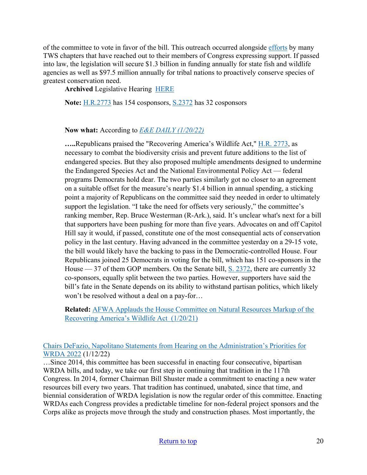of the committee to vote in favor of the bill. This outreach occurred alongside [efforts](https://wildlife.org/tws-chapters-visit-hill-for-recovering-act/) by many TWS chapters that have reached out to their members of Congress expressing support. If passed into law, the legislation will secure \$1.3 billion in funding annually for state fish and wildlife agencies as well as \$97.5 million annually for tribal nations to proactively conserve species of greatest conservation need.

**Archived** Legislative Hearing [HERE](https://naturalresources.house.gov/hearings/remote-wow-legislative-hearing_january-20-2022)

**Note:** [H.R.2773](https://www.congress.gov/bill/117th-congress/house-bill/2773?loclr=cga-bill) has 154 cosponsors, [S.2372](https://www.congress.gov/bill/117th-congress/senate-bill/2372) has 32 cosponsors

**Now what:** According to *[E&E DAILY \(1/20/22\)](https://subscriber.politicopro.com/article/eenews/2022/01/20/committee-oks-wildlife-bill-but-partisan-divisions-remain-285365)*

**…..**Republicans praised the "Recovering America's Wildlife Act," [H.R. 2773,](https://www.congress.gov/117/bills/hr2773/BILLS-117hr2773ih.pdf) as necessary to combat the biodiversity crisis and prevent future additions to the list of endangered species. But they also proposed multiple amendments designed to undermine the Endangered Species Act and the National Environmental Policy Act — federal programs Democrats hold dear. The two parties similarly got no closer to an agreement on a suitable offset for the measure's nearly \$1.4 billion in annual spending, a sticking point a majority of Republicans on the committee said they needed in order to ultimately support the legislation. "I take the need for offsets very seriously," the committee's ranking member, Rep. Bruce Westerman (R-Ark.), said. It's unclear what's next for a bill that supporters have been pushing for more than five years. Advocates on and off Capitol Hill say it would, if passed, constitute one of the most consequential acts of conservation policy in the last century. Having advanced in the committee yesterday on a 29-15 vote, the bill would likely have the backing to pass in the Democratic-controlled House. Four Republicans joined 25 Democrats in voting for the bill, which has 151 co-sponsors in the House  $-37$  of them GOP members. On the Senate bill,  $S. 2372$ , there are currently 32 co-sponsors, equally split between the two parties. However, supporters have said the bill's fate in the Senate depends on its ability to withstand partisan politics, which likely won't be resolved without a deal on a pay-for…

**Related:** [AFWA Applauds the House Committee on Natural Resources Markup of the](https://www.fishwildlife.org/landing/blog/association-applauds-house-committee-natural-resources-markup-recovering-americas-wildlife-act-1)  [Recovering America's Wildlife Act \(1/20/21\)](https://www.fishwildlife.org/landing/blog/association-applauds-house-committee-natural-resources-markup-recovering-americas-wildlife-act-1)

[Chairs DeFazio, Napolitano Statements from Hearing on the Administration's Priorities for](https://transportation.house.gov/news/press-releases/chairs-defazio-napolitano-statements-from-hearing-on-the-administrations-priorities-for-wrda-2022)  [WRDA 2022](https://transportation.house.gov/news/press-releases/chairs-defazio-napolitano-statements-from-hearing-on-the-administrations-priorities-for-wrda-2022) (1/12/22)

…Since 2014, this committee has been successful in enacting four consecutive, bipartisan WRDA bills, and today, we take our first step in continuing that tradition in the 117th Congress. In 2014, former Chairman Bill Shuster made a commitment to enacting a new water resources bill every two years. That tradition has continued, unabated, since that time, and biennial consideration of WRDA legislation is now the regular order of this committee. Enacting WRDAs each Congress provides a predictable timeline for non-federal project sponsors and the Corps alike as projects move through the study and construction phases. Most importantly, the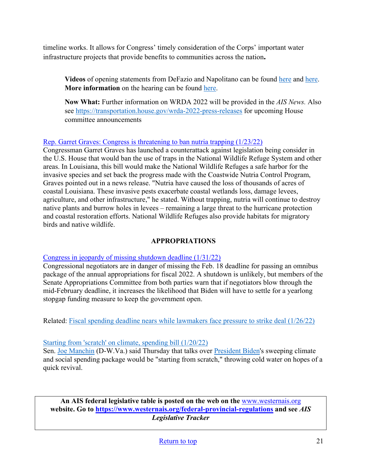timeline works. It allows for Congress' timely consideration of the Corps' important water infrastructure projects that provide benefits to communities across the nation**.** 

**Videos** of opening statements from DeFazio and Napolitano can be found [here](https://youtu.be/TRdC3X_1lc0) and [here.](https://youtu.be/PSAAQ5-SITA) **More information** on the hearing can be found [here.](https://transportation.house.gov/committee-activity/hearings/proposals-for-a-water-resources-development-act-of-2022-administration-priorities)

**Now What:** Further information on WRDA 2022 will be provided in the *AIS News.* Also see<https://transportation.house.gov/wrda-2022-press-releases>for upcoming House committee announcements

### [Rep. Garret Graves: Congress is threatening to ban nutria trapping \(1/23/22\)](https://www.weeklycitizen.com/story/news/2022/01/23/louisiana-rep-garret-graves-congress-threatening-ban-nutria-trapping/6627659001/)

Congressman Garret Graves has launched a counterattack against legislation being consider in the U.S. House that would ban the use of traps in the National Wildlife Refuge System and other areas. In Louisiana, this bill would make the National Wildlife Refuges a safe harbor for the invasive species and set back the progress made with the Coastwide Nutria Control Program, Graves pointed out in a news release. "Nutria have caused the loss of thousands of acres of coastal Louisiana. These invasive pests exacerbate coastal wetlands loss, damage levees, agriculture, and other infrastructure," he stated. Without trapping, nutria will continue to destroy native plants and burrow holes in levees – remaining a large threat to the hurricane protection and coastal restoration efforts. National Wildlife Refuges also provide habitats for migratory birds and native wildlife.

### **APPROPRIATIONS**

### [Congress in jeopardy of missing shutdown deadline \(1/31/22\)](https://thehill.com/homenews/senate/591907-congress-in-jeopardy-of-missing-shutdown-deadline)

Congressional negotiators are in danger of missing the Feb. 18 deadline for passing an omnibus package of the annual appropriations for fiscal 2022. A shutdown is unlikely, but members of the Senate Appropriations Committee from both parties warn that if negotiators blow through the mid-February deadline, it increases the likelihood that Biden will have to settle for a yearlong stopgap funding measure to keep the government open.

Related: Fiscal spending deadline nears while lawmakers face pressure to strike deal (1/26/22)

### [Starting from 'scratch' on climate, spending bill \(1/20/22\)](https://thehill.com/homenews/senate/590654-manchin-says-talks-starting-from-scratch-on-biden-spending-plan)

Sen. [Joe Manchin](https://thehill.com/people/joe-manchin) (D-W.Va.) said Thursday that talks over [President Biden's](https://thehill.com/people/joe-biden) sweeping climate and social spending package would be "starting from scratch," throwing cold water on hopes of a quick revival.

**An AIS federal legislative table is posted on the web on the** [www.westernais.org](http://www.westernais.org/) **website. Go to<https://www.westernais.org/federal-provincial-regulations> and see** *AIS Legislative Tracker*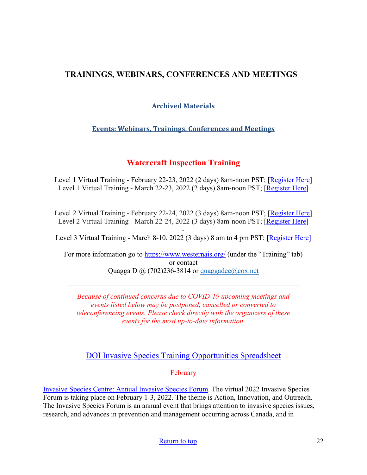# <span id="page-21-0"></span>**TRAININGS, WEBINARS, CONFERENCES AND MEETINGS**

# **Archived Materials**

# **Events: Webinars, Trainings, Conferences and Meetings**

# **Watercraft Inspection Training**

Level 1 Virtual Training - February 22-23, 2022 (2 days) 8am-noon PST; [\[Register Here\]](https://us02web.zoom.us/meeting/register/tZYrfuCsqD4qHNE2BOiqfC0RIGgYVmJwGHlD) Level 1 Virtual Training - March 22-23, 2022 (2 days) 8am-noon PST; [\[Register Here\]](https://us02web.zoom.us/meeting/register/tZcpcO-hpz8jGNJ6Weax-__pDobzlIzmahMU) -

Level 2 Virtual Training - February 22-24, 2022 (3 days) 8am-noon PST; [\[Register Here\]](https://us02web.zoom.us/meeting/register/tZYrfuCsqD4qHNE2BOiqfC0RIGgYVmJwGHlD) Level 2 Virtual Training - March 22-24, 2022 (3 days) 8am-noon PST; [\[Register Here\]](https://us02web.zoom.us/meeting/register/tZcpcO-hpz8jGNJ6Weax-__pDobzlIzmahMU)

- Level 3 Virtual Training - March 8-10, 2022 (3 days) 8 am to 4 pm PST; [\[Register Here\]](https://us02web.zoom.us/meeting/register/tZIqcOCspjgoGNZwELYrMT8J9RJzGDf94Aza)

For more information go to<https://www.westernais.org/> (under the "Training" tab) or contact Quagga D  $\omega$  (702)236-3814 or quaggadee $\omega$ cox.net

*Because of continued concerns due to COVID-19 upcoming meetings and events listed below may be postponed, cancelled or converted to teleconferencing events. Please check directly with the organizers of these events for the most up-to-date information.* 

[DOI Invasive Species Training Opportunities Spreadsheet](https://www.doi.gov/sites/doi.gov/files/doi-invasive-species-training-opportunities.pdf)

February

[Invasive Species Centre: Annual Invasive Species Forum.](https://www.invasivespeciescentre.ca/events/ontario-invasive-species-forum/?utm_medium=email&utm_source=govdelivery) The virtual 2022 Invasive Species Forum is taking place on February 1-3, 2022. The theme is Action, Innovation, and Outreach. The Invasive Species Forum is an annual event that brings attention to invasive species issues, research, and advances in prevention and management occurring across Canada, and in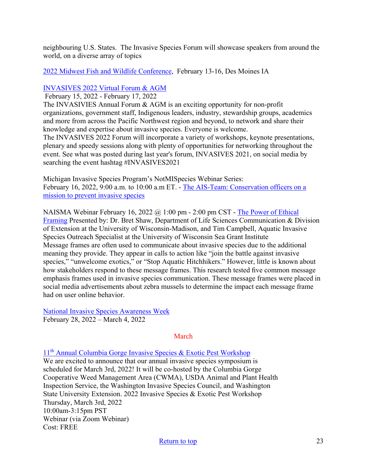neighbouring U.S. States. The Invasive Species Forum will showcase speakers from around the world, on a diverse array of topics

### [2022 Midwest Fish and Wildlife Conference,](http://www.midwestfw.org/html/call-for-symposia.shtml) February 13-16, Des Moines IA

### [INVASIVES 2022 Virtual Forum & AGM](https://pheedloop.com/invasives2022/site/home/)

February 15, 2022 - February 17, 2022

The INVASIVIES Annual Forum & AGM is an exciting opportunity for non-profit organizations, government staff, Indigenous leaders, industry, stewardship groups, academics and more from across the Pacific Northwest region and beyond, to network and share their knowledge and expertise about invasive species. Everyone is welcome.

The INVASIVES 2022 Forum will incorporate a variety of workshops, keynote presentations, plenary and speedy sessions along with plenty of opportunities for networking throughout the event. See what was posted during last year's forum, INVASIVES 2021, on social media by searching the event hashtag #INVASIVES2021

Michigan Invasive Species Program's NotMISpecies Webinar Series: February 16, 2022, 9:00 a.m. to 10:00 a.m ET. - [The AIS-Team: Conservation officers on a](https://register.gotowebinar.com/register/4837962631337528333?utm_medium=email&utm_source=govdelivery)  [mission to prevent invasive species](https://register.gotowebinar.com/register/4837962631337528333?utm_medium=email&utm_source=govdelivery)

NAISMA Webinar February 16, 2022  $\omega$  1:00 pm - 2:00 pm CST - The Power of Ethical [Framing](https://naisma.org/event/webinar-the-power-of-ethical-framing/?utm_medium=email&utm_source=govdelivery) Presented by: Dr. Bret Shaw, Department of Life Sciences Communication & Division of Extension at the University of Wisconsin-Madison, and Tim Campbell, Aquatic Invasive Species Outreach Specialist at the University of Wisconsin Sea Grant Institute Message frames are often used to communicate about invasive species due to the additional meaning they provide. They appear in calls to action like "join the battle against invasive species," "unwelcome exotics," or "Stop Aquatic Hitchhikers." However, little is known about how stakeholders respond to these message frames. This research tested five common message emphasis frames used in invasive species communication. These message frames were placed in social media advertisements about zebra mussels to determine the impact each message frame had on user online behavior.

[National Invasive Species Awareness Week](https://www.nisaw.org/?utm_medium=email&utm_source=govdelivery) February 28, 2022 – March 4, 2022

## March

11th [Annual Columbia Gorge Invasive Species & Exotic Pest Workshop](https://extension.oregonstate.edu/events/2022-invasive-species-exotic-pest-workshop-save-date)

We are excited to announce that our annual invasive species symposium is scheduled for March 3rd, 2022! It will be co-hosted by the Columbia Gorge Cooperative Weed Management Area (CWMA), USDA Animal and Plant Health Inspection Service, the Washington Invasive Species Council, and Washington State University Extension. 2022 Invasive Species & Exotic Pest Workshop Thursday, March 3rd, 2022 10:00am-3:15pm PST Webinar (via Zoom Webinar) Cost: FREE